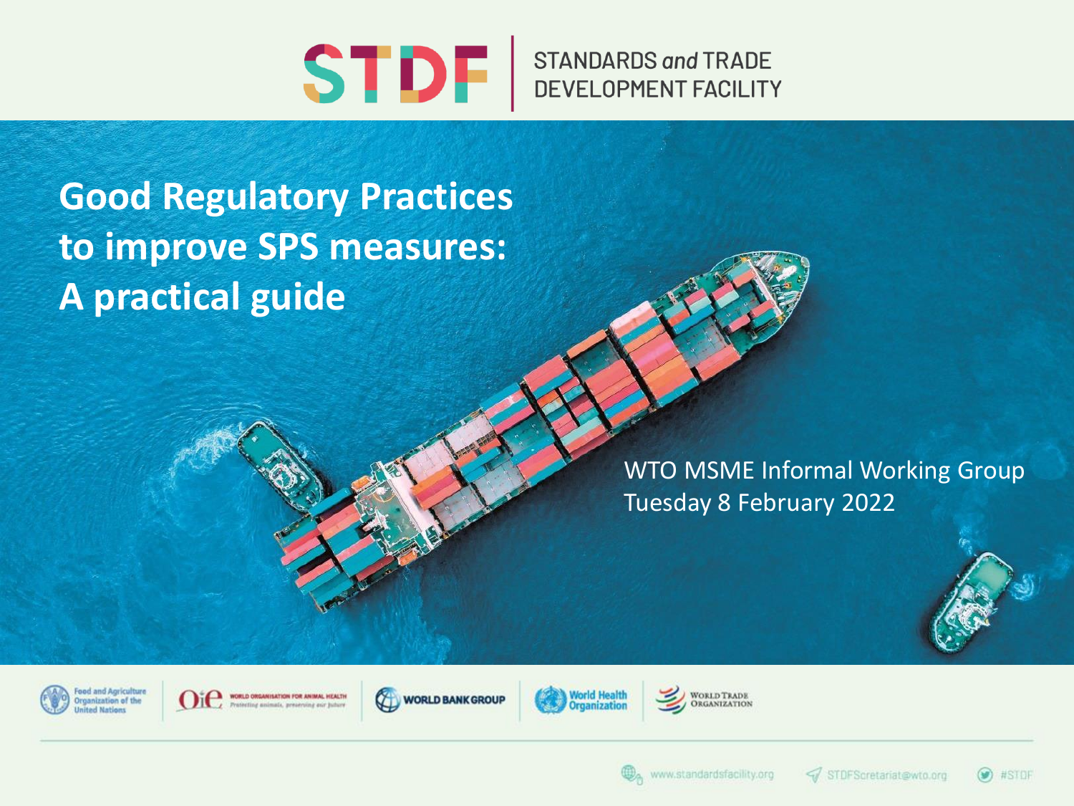

**STANDARDS and TRADE** DEVELOPMENT FACILITY

**Good Regulatory Practices to improve SPS measures: A practical guide**

> WTO MSME Informal Working Group Tuesday 8 February 2022



WORLD ORGANISATION FOR ANIMAL HEALTH ne assimals, preservine pur butur







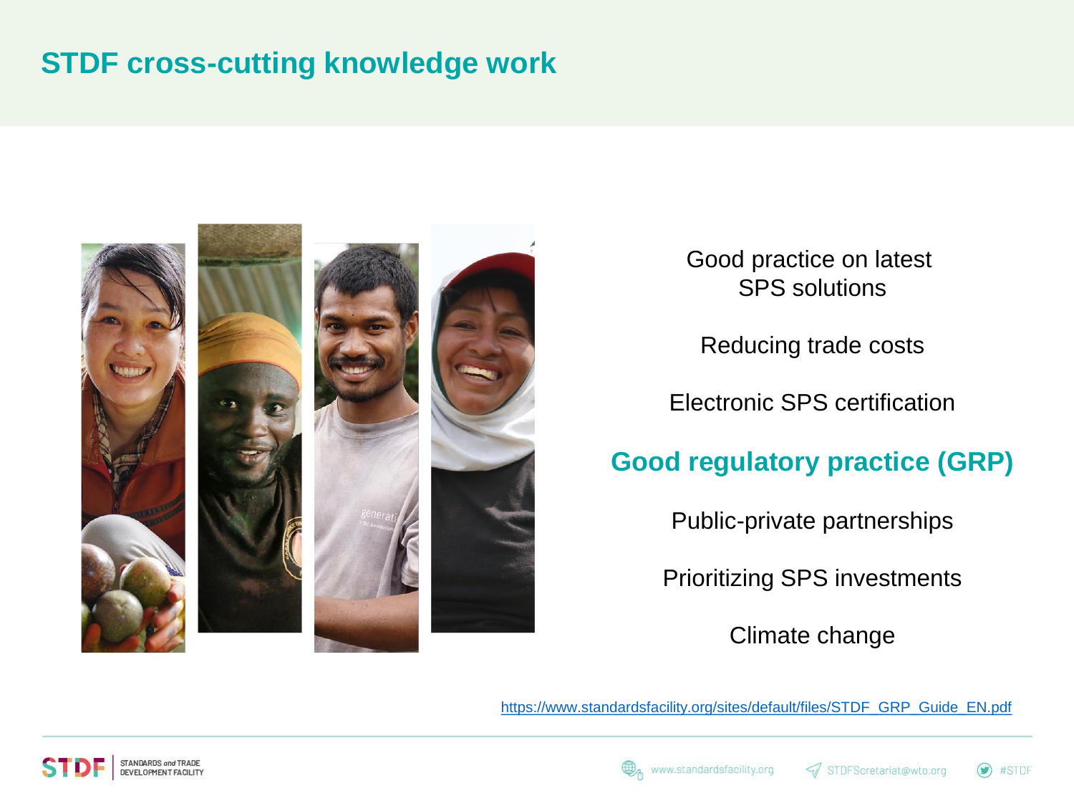#### **STDF cross-cutting knowledge work**



Good practice on latest SPS solutions

Reducing trade costs

Electronic SPS certification

#### **Good regulatory practice (GRP)**

Public-private partnerships

Prioritizing SPS investments

Climate change

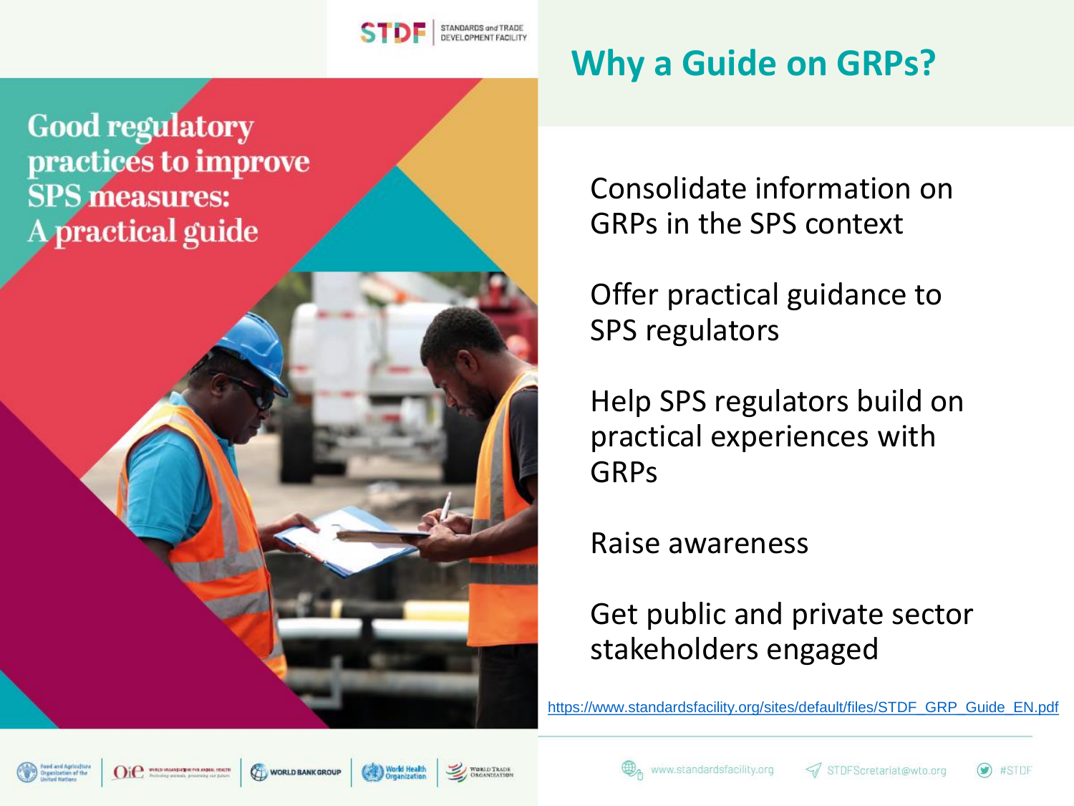

**Good regulatory** practices to improve **SPS** measures: A practical guide

# **Why a Guide on GRPs?**

Consolidate information on GRPs in the SPS context

Offer practical guidance to SPS regulators

Help SPS regulators build on practical experiences with GRPs

Raise awareness

#### Get public and private sector stakeholders engaged











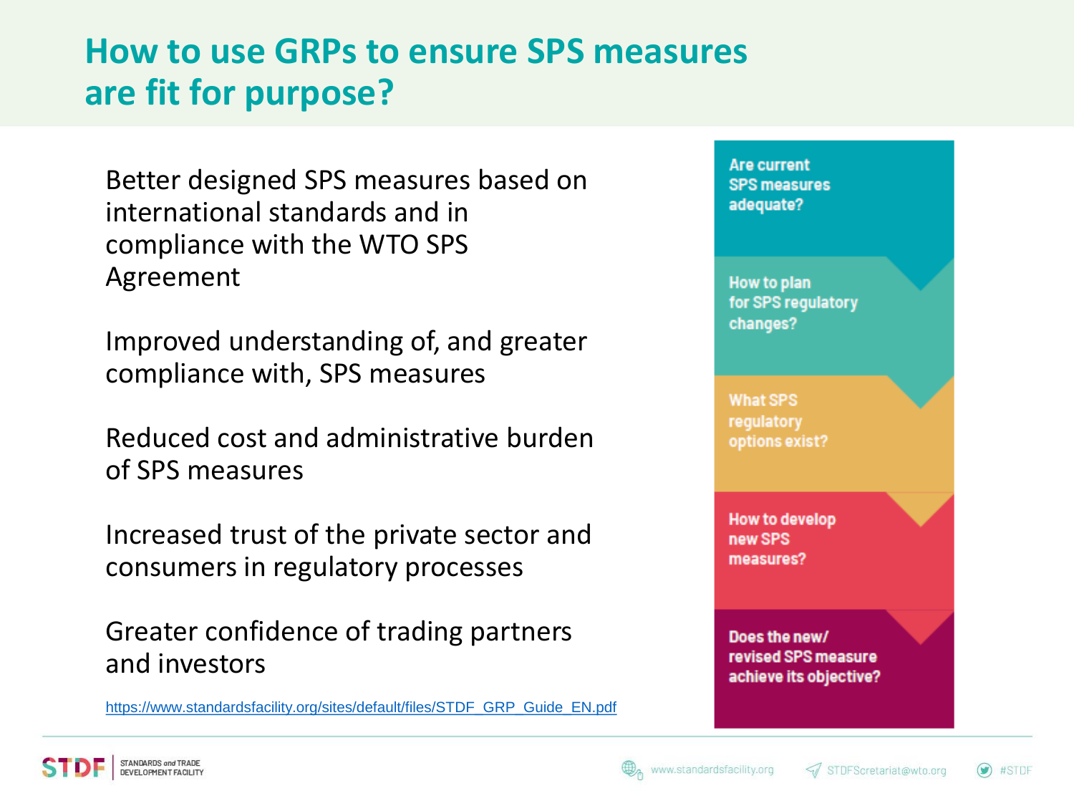### **How to use GRPs to ensure SPS measures are fit for purpose?**

Better designed SPS measures based on international standards and in compliance with the WTO SPS Agreement

Improved understanding of, and greater compliance with, SPS measures

Reduced cost and administrative burden of SPS measures

Increased trust of the private sector and consumers in regulatory processes

Greater confidence of trading partners and investors



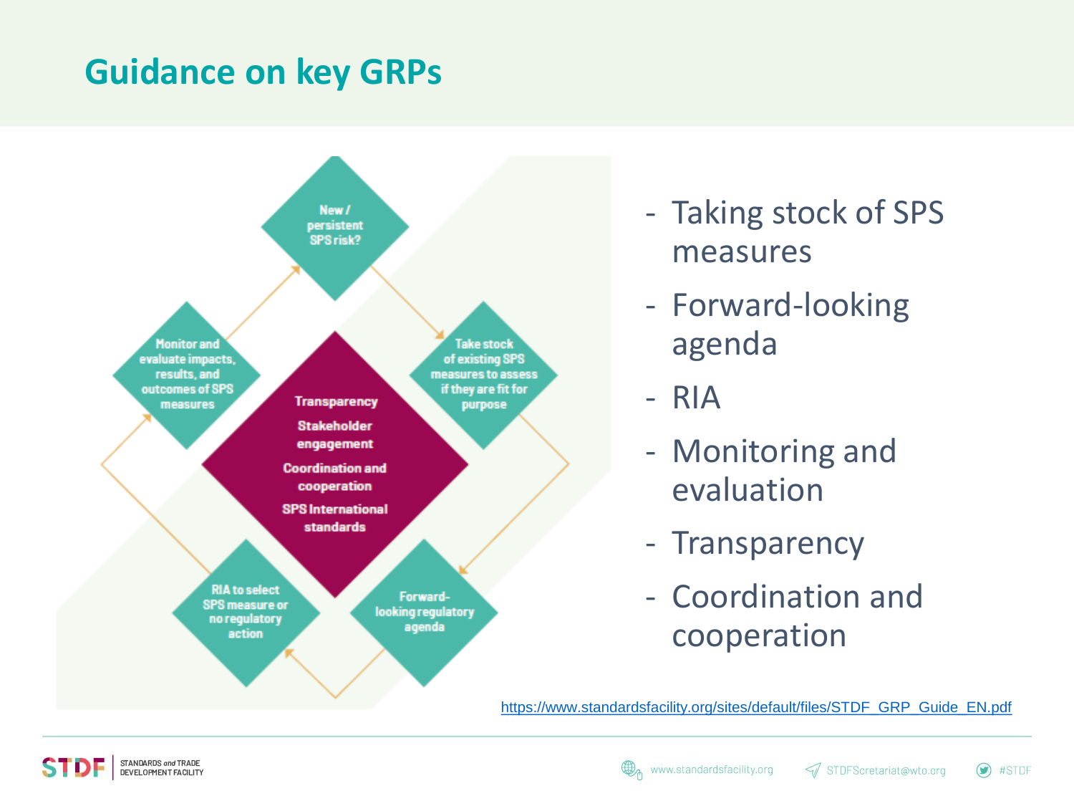### **Guidance on key GRPs**



- Taking stock of SPS measures
- Forward-looking agenda
- RIA
- Monitoring and evaluation
- Transparency
- Coordination and cooperation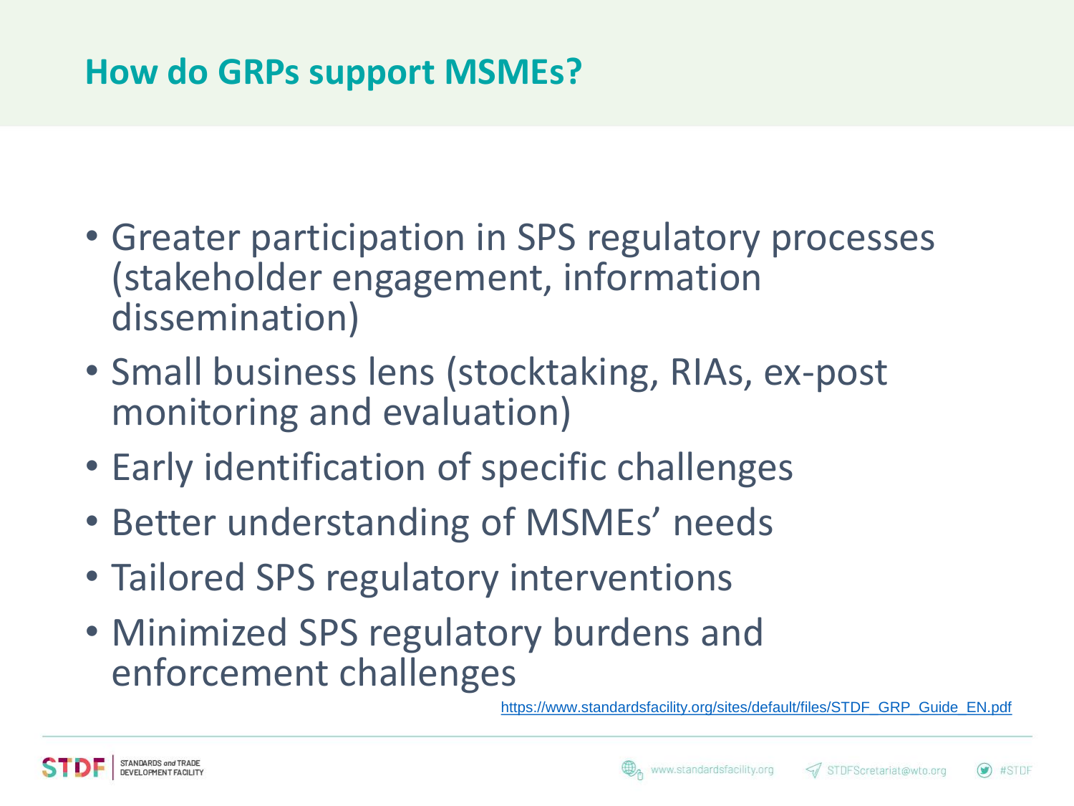## **How do GRPs support MSMEs?**

- Greater participation in SPS regulatory processes (stakeholder engagement, information dissemination)
- Small business lens (stocktaking, RIAs, ex-post monitoring and evaluation)
- Early identification of specific challenges
- Better understanding of MSMEs' needs
- Tailored SPS regulatory interventions
- Minimized SPS regulatory burdens and enforcement challenges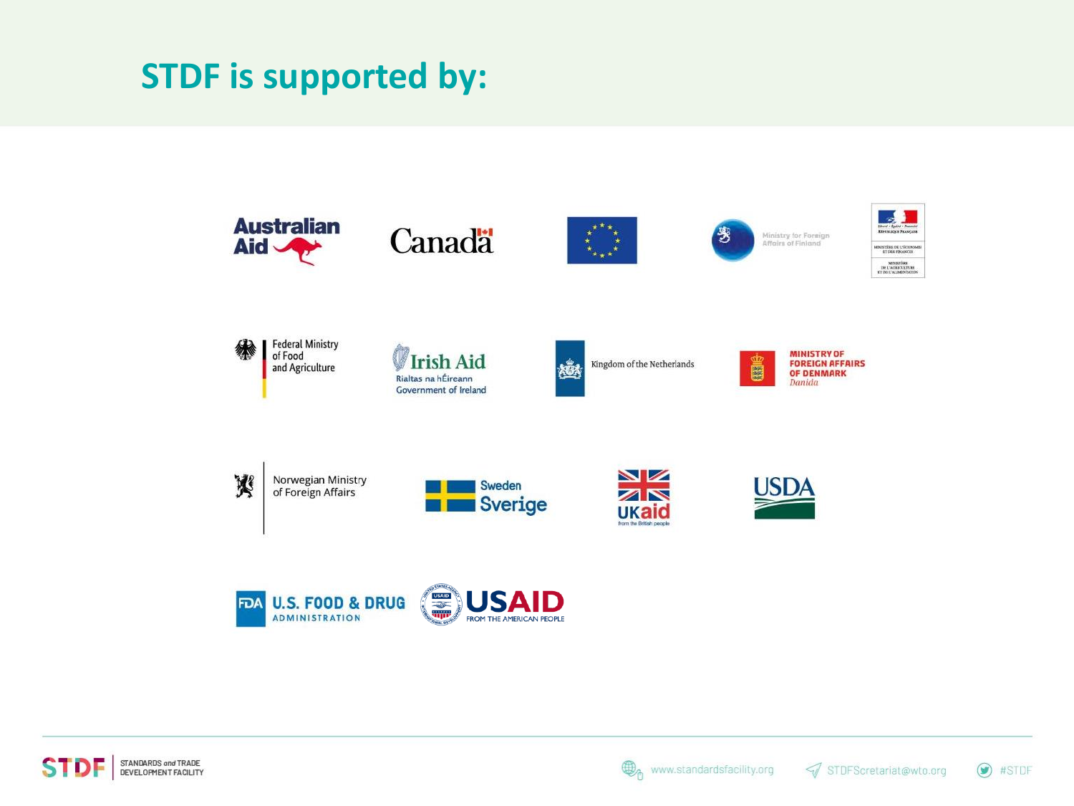#### **STDF is supported by:**